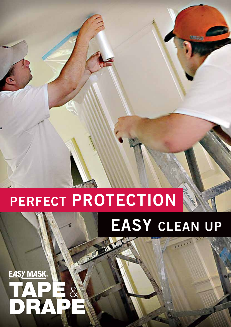### **EASY MASK** TAPE & DRAPE

# **EASY CLEAN UP**

 $1111$ 

## **PERFECT PROTECTION**